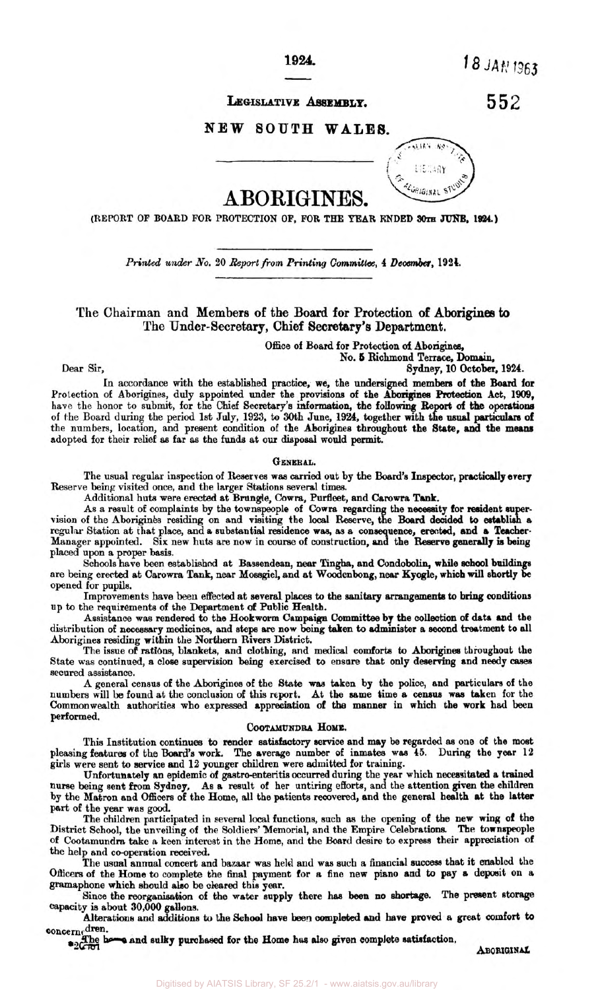**1924.** 

18 JAN 1963

## LEGISLATIVE ASSEMBLY.

552

## **NEW SOUTH WALES.**



# **ABORIGINES.**

**(REPORT OF BOARD FOR PROTECTION OF, FOR THE YEAR ENDED 30th 1924** 

*Printed under* No. 20 Report from *Printing* **Committee, 4** *December,* **1924.** 

**The Chairman and Members of the Board for Protection of Aborigines to The Under-Secretary, Chief Secretary's Department.** 

> Office of Board for **Protection of Aborigines, No. 5 Richmond Terrace., Domain,**

Dear **Sir, Sydney, 10** October, **1924.** 

**In** accordance with the established practice, **we,** the undersigned members of the Board for Protection *of* Aborigines, duly appointed under the **provisions of** the **Aborigines Protection** Act, **1909,**  have the honor to submit, for the **Chief Secretary's information,** the **folIowing** Re. of the Board during the period 1st July, 1923, to 30th June, 1924, together with the usual particulars of the numbers, location, and present condition of the Aborigines throughout the **State, and** the **means**  adopted for their relief **as** far **as** the **funds** at our disposal would permit.

#### **GENERAL.**

The usual regular inspection of Reserves was carried out by the **Board's Inspector, practically evey**  Reserve being visited once, and the larger Stations several **times.** 

Additional huts were erected at Brungle, Cowra Purfleet, and **Carowra Tank.** 

As a result of complaints **by** the townspeople of *Cowra* regarding the necessity for resident supervision of the **Aborigines** residing **on** and visiting the local Reserve, the **Board decided** to **establish a**  regular Station at that place, and a substantial residence was, as a consequence, erected, and a Teacher-Manager appointed. Six new huts **are** now in course of construction, the **Reserve** generally **is** being placed upon **a** proper **basis.** 

Schools have been established at Bassendean, near Tingha, and Condobolin, while school buildings are being erected at Carowra Tank, near Mossgiel, and at Woodenbong, near Kyogle, which will shortly be opened **for** pupils.

Improvements have **been** effected at several **places** to the sanitary *arrangements* **to bring** conditions up to the requirements of the Department **of** Public Health.

**Assistance was** rendered to the Hookworm Campaign **Committee by** the **collection** of **data** and the distribution of **necessary** medicines, **and** step are **now** being taken to **administer a second** treatment to all Aborigines **residing** within the Northern Rivers District.

The issue **of rations,** blankets, and clothing, **and** medical comforts to **Aborigines** throughout the State **was** continued, **a** close supervision being exercised **to** ensure that only deserving and **needy cases**  secured assistance.

A general census of the **Aborigines** of the **State was** taken **by** the police, and particulars of the numbers will be found at the conclusion of this report. At the same time **a census was** taken for the Commonwealth authorities who expressed appreciation of the **manner** in which the work **had been**  performed.

## **COOTAMUNDRA HOME.**

This Institution continues to render **satisfactory service** and may be **regarded as** one of the moat pleasing features of the **Board's work.** The average number of inmates **was 45.** During the **year** 12

girls were sent to service and 12 younger children were admitted for training.<br>Unfortunately an epidemic of gastro-enteritis occurred during the year which necessitated a trained by the Matron **and Officers** of the Home, all the patients recovered, and the general health at the latter part of the year was good. nurse being sent from **Sydney, As a** result of her untiring efforts, **an** the attention given the children

The children participated in several local functions, such **as** the opening of the new **wing** of the District School, the unveiling of the Soldiers' Memorial, and the Empire Celebrations. **The** townspeople of Cootamundra take a keen interest in the Home, and the Board desire to express their appreciation of the help and co-operation received.

The usual annual concert **and** bazaar was held and **was** such **a** financial success that it enabled the Officers of the Home to complete the **final** payment for **a fine** new **piano** and to **pay a** deposit **on a**  gramaphone which should also be **cleared** this **year.** 

Since the reorganisation of the water supply there **has** been **no** *shortage.* **The** present **storage**  capacity is about **30,000 gallons.** 

Alterations **and** additions *to* **the School heve been** completed **and** have proved **a** great **comfort** to

concerned.<br> **Example:**  $\frac{d}{dx}$  and sulky purchased for the Home has also given complete satisfaction.